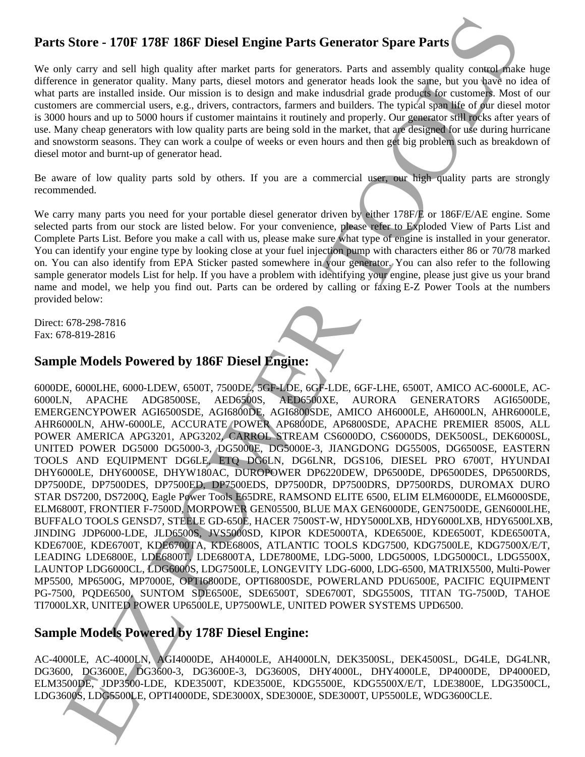# **Parts Store - 170F 178F 186F Diesel Engine Parts Generator Spare Parts**

We only carry and sell high quality after market parts for generators. Parts and assembly quality control make huge difference in generator quality. Many parts, diesel motors and generator heads look the same, but you have no idea of what parts are installed inside. Our mission is to design and make indusdrial grade products for customers. Most of our customers are commercial users, e.g., drivers, contractors, farmers and builders. The typical span life of our diesel motor is 3000 hours and up to 5000 hours if customer maintains it routinely and properly. Our generator still rocks after years of use. Many cheap generators with low quality parts are being sold in the market, that are designed for use during hurricane and snowstorm seasons. They can work a coulpe of weeks or even hours and then get big problem such as breakdown of diesel motor and burnt-up of generator head.

Be aware of low quality parts sold by others. If you are a commercial user, our high quality parts are strongly recommended.

We carry many parts you need for your portable diesel generator driven by either 178F/E or 186F/E/AE engine. Some selected parts from our stock are listed below. For your convenience, please refer to Exploded View of Parts List and Complete Parts List. Before you make a call with us, please make sure what type of engine is installed in your generator. You can identify your engine type by looking close at your fuel injection pump with characters either 86 or 70/78 marked on. You can also identify from EPA Sticker pasted somewhere in your generator. You can also refer to the following sample generator models List for help. If you have a problem with identifying your engine, please just give us your brand name and model, we help you find out. Parts can be ordered by calling or faxing E-Z Power Tools at the numbers provided below:

Direct: 678-298-7816 Fax: 678-819-2816

## **Sample Models Powered by 186F Diesel Engine:**

6000DE, 6000LHE, 6000-LDEW, 6500T, 7500DE, 5GF-LDE, 6GF-LDE, 6GF-LHE, 6500T, AMICO AC-6000LE, AC-6000LN, APACHE ADG8500SE, AED6500S, AED6500XE, AURORA GENERATORS AGI6500DE, EMERGENCYPOWER AGI6500SDE, AGI6800DE, AGI6800SDE, AMICO AH6000LE, AH6000LN, AHR6000LE, AHR6000LN, AHW-6000LE, ACCURATE POWER AP6800DE, AP6800SDE, APACHE PREMIER 8500S, ALL POWER AMERICA APG3201, APG3202, CARROL STREAM CS6000DO, CS6000DS, DEK500SL, DEK6000SL, UNITED POWER DG5000 DG5000-3, DG5000E, DG5000E-3, JIANGDONG DG5500S, DG6500SE, EASTERN TOOLS AND EQUIPMENT DG6LE, ETQ DG6LN, DG6LNR, DGS106, DIESEL PRO 6700T, HYUNDAI DHY6000LE, DHY6000SE, DHYW180AC, DUROPOWER DP6220DEW, DP6500DE, DP6500DES, DP6500RDS, DP7500DE, DP7500DES, DP7500ED, DP7500EDS, DP7500DR, DP7500DRS, DP7500RDS, DUROMAX DURO STAR DS7200, DS7200Q, Eagle Power Tools E65DRE, RAMSOND ELITE 6500, ELIM ELM6000DE, ELM6000SDE, ELM6800T, FRONTIER F-7500D, MORPOWER GEN05500, BLUE MAX GEN6000DE, GEN7500DE, GEN6000LHE, BUFFALO TOOLS GENSD7, STEELE GD-650E, HACER 7500ST-W, HDY5000LXB, HDY6000LXB, HDY6500LXB, JINDING JDP6000-LDE, JLD6500S, JVS5000SD, KIPOR KDE5000TA, KDE6500E, KDE6500T, KDE6500TA, KDE6700E, KDE6700T, KDE6700TA, KDE6800S, ATLANTIC TOOLS KDG7500, KDG7500LE, KDG7500X/E/T, LEADING LDE6800E, LDE6800T, LDE6800TA, LDE7800ME, LDG-5000, LDG5000S, LDG5000CL, LDG5500X, LAUNTOP LDG6000CL, LDG6000S, LDG7500LE, LONGEVITY LDG-6000, LDG-6500, MATRIX5500, Multi-Power MP5500, MP6500G, MP7000E, OPTI6800DE, OPTI6800SDE, POWERLAND PDU6500E, PACIFIC EQUIPMENT PG-7500, PQDE6500, SUNTOM SDE6500E, SDE6500T, SDE6700T, SDG5500S, TITAN TG-7500D, TAHOE TI7000LXR, UNITED POWER UP6500LE, UP7500WLE, UNITED POWER SYSTEMS UPD6500. Store - 170F 178F 186F Diesel Engine Parts Generator Spare Parts Control in the system of the system of the system of the system of the system of the system of the system of the system of the system of the system of the s

# **Sample Models Powered by 178F Diesel Engine:**

AC-4000LE, AC-4000LN, AGI4000DE, AH4000LE, AH4000LN, DEK3500SL, DEK4500SL, DG4LE, DG4LNR, DG3600, DG3600E, DG3600-3, DG3600E-3, DG3600S, DHY4000L, DHY4000LE, DP4000DE, DP4000ED, ELM3500DE, JDP3500-LDE, KDE3500T, KDE3500E, KDG5500E, KDG5500X/E/T, LDE3800E, LDG3500CL, LDG3600S, LDG5500LE, OPTI4000DE, SDE3000X, SDE3000E, SDE3000T, UP5500LE, WDG3600CLE.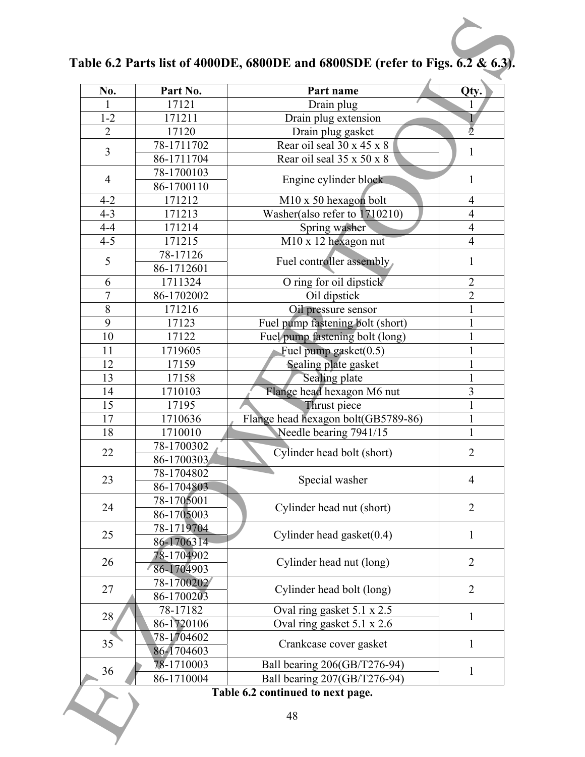|                     |                       | Table 6.2 Parts list of 4000DE, 6800DE and 6800SDE (refer to Figs. 6.2 & 6.3). |                                  |
|---------------------|-----------------------|--------------------------------------------------------------------------------|----------------------------------|
| No.                 | Part No.              | Part name                                                                      | Qty.                             |
|                     | 17121                 | Drain plug                                                                     | 1                                |
| $1 - 2$             | 171211                | Drain plug extension                                                           |                                  |
| $\overline{2}$      | 17120                 | Drain plug gasket                                                              | $\bar{2}$                        |
| 3                   | 78-1711702            | Rear oil seal 30 x 45 x 8                                                      | 1                                |
|                     | 86-1711704            | Rear oil seal 35 x 50 x 8                                                      |                                  |
| $\overline{4}$      | 78-1700103            | Engine cylinder block                                                          | 1                                |
|                     | 86-1700110            |                                                                                |                                  |
| $4 - 2$             | 171212                | $M10 \times 50$ hexagon bolt                                                   | 4                                |
| $4 - 3$             | 171213                | Washer(also refer to 1710210)                                                  | $\overline{4}$                   |
| $4 - 4$             | 171214                | Spring washer                                                                  | $\overline{4}$                   |
| $4 - 5$             | 171215                | M10 x 12 hexagon nut                                                           | $\overline{4}$                   |
| 5                   | 78-17126              | Fuel controller assembly                                                       | 1                                |
|                     | 86-1712601<br>1711324 |                                                                                |                                  |
| 6<br>$\overline{7}$ |                       | O ring for oil dipstick                                                        | $\overline{2}$<br>$\overline{2}$ |
|                     | 86-1702002            | Oil dipstick                                                                   |                                  |
| 8<br>9              | 171216                | Oil pressure sensor                                                            | $\mathbf{1}$                     |
| 10                  | 17123<br>17122        | Fuel pump fastening bolt (short)                                               | $\mathbf{1}$                     |
| 11                  | 1719605               | Fuel pump fastening bolt (long)                                                | 1                                |
| 12                  |                       | Fuel pump gasket $(0.5)$                                                       |                                  |
| 13                  | 17159<br>17158        | Sealing plate gasket                                                           |                                  |
| 14                  | 1710103               | Sealing plate<br>Flange head hexagon M6 nut                                    | $\overline{3}$                   |
| 15                  | 17195                 | Thrust piece                                                                   | $\mathbf{1}$                     |
| 17                  | 1710636               | Flange head hexagon bolt(GB5789-86)                                            | 1                                |
| 18                  | 1710010               | Needle bearing 7941/15                                                         | 1                                |
|                     | 78-1700302            |                                                                                |                                  |
| 22                  | 86-1700303            | Cylinder head bolt (short)                                                     | $\overline{2}$                   |
|                     | 78-1704802            |                                                                                |                                  |
| 23                  | 86-1704803            | Special washer                                                                 | $\overline{4}$                   |
|                     | 78-1705001            |                                                                                |                                  |
| 24                  | 86-1705003            | Cylinder head nut (short)                                                      | $\overline{2}$                   |
|                     | 78-1719704            |                                                                                |                                  |
| 25                  | 86-1706314            | Cylinder head gasket $(0.4)$                                                   | $\mathbf{1}$                     |
|                     | 78-1704902            |                                                                                |                                  |
| 26                  | 86-1704903            | Cylinder head nut (long)                                                       | $\overline{2}$                   |
|                     | 78-1700202            |                                                                                |                                  |
| 27                  | 86-1700203            | Cylinder head bolt (long)                                                      | $\overline{2}$                   |
|                     | 78-17182              | Oval ring gasket 5.1 x 2.5                                                     |                                  |
| 28                  | 86-1720106            | Oval ring gasket 5.1 x 2.6                                                     | $\mathbf{1}$                     |
|                     | 78-1704602            |                                                                                |                                  |
| 35                  | 86-1704603            | Crankcase cover gasket                                                         | 1                                |
|                     | 78-1710003            | Ball bearing 206(GB/T276-94)                                                   |                                  |
| 36                  | 86-1710004            | Ball bearing 207(GB/T276-94)                                                   | 1                                |
|                     |                       | Table 6.2 continued to next page.                                              |                                  |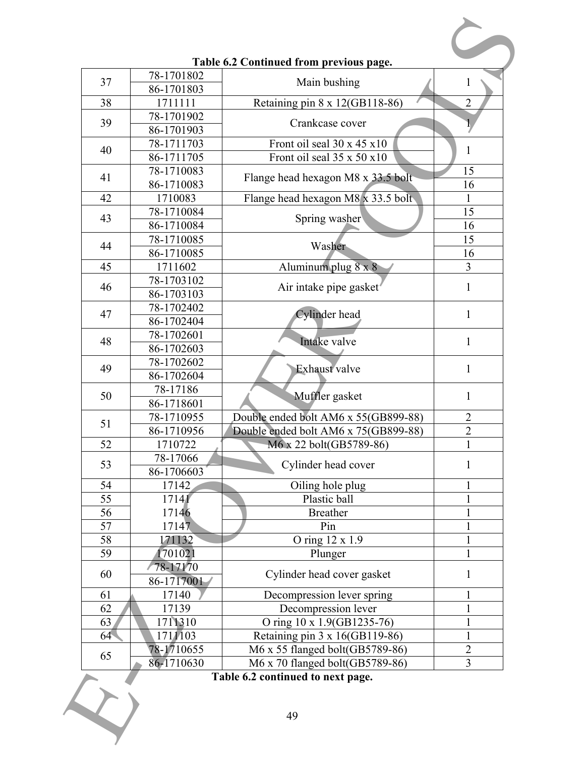|    |                     | Table 6.2 Continued from previous page. |                                  |
|----|---------------------|-----------------------------------------|----------------------------------|
|    | 78-1701802          |                                         |                                  |
| 37 | 86-1701803          | Main bushing                            | 1                                |
| 38 | 1711111             | Retaining pin 8 x 12(GB118-86)          | $\overline{2}$                   |
|    | 78-1701902          |                                         |                                  |
| 39 | 86-1701903          | Crankcase cover                         |                                  |
|    | 78-1711703          | Front oil seal 30 x 45 x10              |                                  |
| 40 | 86-1711705          | Front oil seal 35 x 50 x10              | 1                                |
| 41 | 78-1710083          |                                         | 15                               |
|    | 86-1710083          | Flange head hexagon M8 x 33.5 bolt      | 16                               |
| 42 | 1710083             | Flange head hexagon M8 x 33.5 bolt      |                                  |
| 43 | 78-1710084          | Spring washer                           | 15                               |
|    | 86-1710084          |                                         | 16                               |
| 44 | 78-1710085          | Washer                                  | 15                               |
|    | 86-1710085          |                                         | 16                               |
| 45 | 1711602             | Aluminum plug 8 x 8                     | $\overline{3}$                   |
| 46 | 78-1703102          | Air intake pipe gasket                  | 1                                |
|    | 86-1703103          |                                         |                                  |
| 47 | 78-1702402          | Cylinder head                           | 1                                |
|    | 86-1702404          |                                         |                                  |
| 48 | 78-1702601          | Intake valve                            | 1                                |
|    | 86-1702603          |                                         |                                  |
| 49 | 78-1702602          | Exhaust valve                           | $\mathbf{1}$                     |
|    | 86-1702604          |                                         |                                  |
| 50 | 78-17186            | Muffler gasket                          | 1                                |
|    | 86-1718601          |                                         |                                  |
| 51 | 78-1710955          | Double ended bolt AM6 x 55(GB899-88)    | $\overline{2}$<br>$\overline{2}$ |
|    | 86-1710956          | Double ended bolt AM6 x 75(GB899-88)    |                                  |
| 52 | 1710722<br>78-17066 | M6 x 22 bolt(GB5789-86)                 | $\mathbf{1}$                     |
| 53 | 86-1706603          | Cylinder head cover                     | 1                                |
| 54 | 17142               | Oiling hole plug                        | 1                                |
| 55 | 17141               | Plastic ball                            |                                  |
| 56 | 17146               | <b>Breather</b>                         |                                  |
| 57 | 17147               | Pin                                     | $\mathbf{1}$                     |
| 58 | 171132              | O ring 12 x 1.9                         | $\mathbf{1}$                     |
| 59 | 1701021             | Plunger                                 | $\mathbf{1}$                     |
|    | 78-17170            |                                         |                                  |
| 60 | 86-1717001          | Cylinder head cover gasket              | 1                                |
| 61 | 17140               | Decompression lever spring              | 1                                |
| 62 | 17139               | Decompression lever                     | 1                                |
| 63 | 1711310             | O ring 10 x 1.9(GB1235-76)              | $\mathbf{1}$                     |
| 64 | 1711103             | Retaining pin 3 x 16(GB119-86)          | 1                                |
|    | 78-1710655          | M6 x 55 flanged bolt(GB5789-86)         | $\overline{2}$                   |
| 65 | 86-1710630          | M6 x 70 flanged bolt(GB5789-86)         | 3                                |
|    |                     | Table 6.2 continued to next page.       |                                  |
|    |                     |                                         |                                  |
|    |                     |                                         |                                  |
|    |                     | 49                                      |                                  |
|    |                     |                                         |                                  |
|    |                     |                                         |                                  |

### **Table 6.2 Continued from previous page.**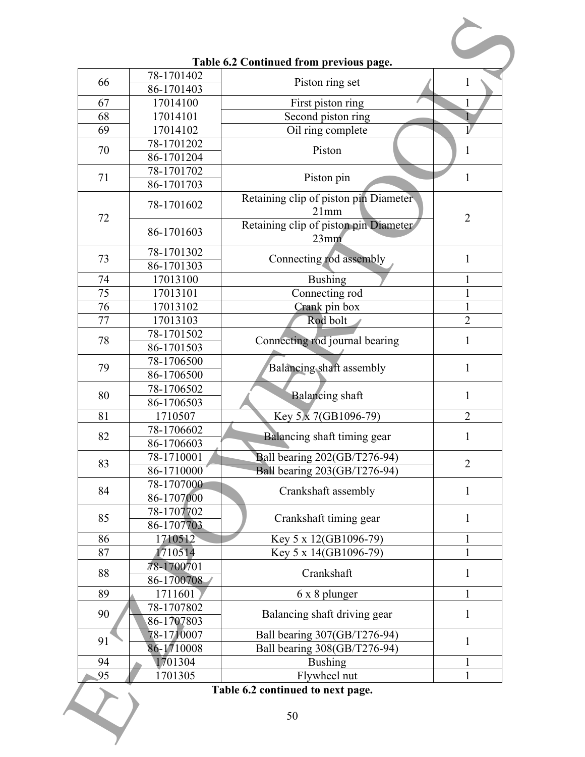|    |            | Table 6.2 Continued from previous page. |                  |
|----|------------|-----------------------------------------|------------------|
| 66 | 78-1701402 | Piston ring set                         |                  |
|    | 86-1701403 |                                         |                  |
| 67 | 17014100   | First piston ring                       |                  |
| 68 | 17014101   | Second piston ring                      |                  |
| 69 | 17014102   | Oil ring complete                       | $\overline{\nu}$ |
| 70 | 78-1701202 | Piston                                  | $\mathbf{1}$     |
|    | 86-1701204 |                                         |                  |
| 71 | 78-1701702 | Piston pin                              | $\mathbf{1}$     |
|    | 86-1701703 |                                         |                  |
|    | 78-1701602 | Retaining clip of piston pin Diameter   |                  |
| 72 |            | 21mm                                    | $\overline{2}$   |
|    | 86-1701603 | Retaining clip of piston pin Diameter   |                  |
|    |            | 23mm                                    |                  |
| 73 | 78-1701302 | Connecting rod assembly                 | $\mathbf{1}$     |
|    | 86-1701303 |                                         |                  |
| 74 | 17013100   | <b>Bushing</b>                          | 1                |
| 75 | 17013101   | Connecting rod                          | 1                |
| 76 | 17013102   | Crank pin box                           | $\mathbf{1}$     |
| 77 | 17013103   | Rod bolt                                | $\overline{2}$   |
| 78 | 78-1701502 | Connecting rod journal bearing          | 1                |
|    | 86-1701503 |                                         |                  |
| 79 | 78-1706500 | Balancing shaft assembly                |                  |
|    | 86-1706500 |                                         | $\mathbf{1}$     |
| 80 | 78-1706502 | <b>Balancing</b> shaft                  | 1                |
|    | 86-1706503 |                                         |                  |
| 81 | 1710507    | Key 5 x 7(GB1096-79)                    | $\overline{2}$   |
| 82 | 78-1706602 | Balancing shaft timing gear             | 1                |
|    | 86-1706603 |                                         |                  |
| 83 | 78-1710001 | Ball bearing 202(GB/T276-94)            | $\overline{2}$   |
|    | 86-1710000 | Ball bearing 203(GB/T276-94)            |                  |
| 84 | 78-1707000 | Crankshaft assembly                     | $\mathbf{1}$     |
|    | 86-1707000 |                                         |                  |
| 85 | 78-1707702 | Crankshaft timing gear                  | 1                |
|    | 86-1707703 |                                         |                  |
| 86 | 1710512    | Key 5 x 12(GB1096-79)                   |                  |
| 87 | 1710514    | Key 5 x 14(GB1096-79)                   |                  |
| 88 | 78-1700701 | Crankshaft                              | 1                |
|    | 86-1700708 |                                         |                  |
| 89 | 1711601    | 6 x 8 plunger                           |                  |
| 90 | 78-1707802 | Balancing shaft driving gear            |                  |
|    | 86-1707803 |                                         | 1                |
|    | 78-1710007 | Ball bearing 307(GB/T276-94)            | 1                |
| 91 | 86-1710008 | Ball bearing 308(GB/T276-94)            |                  |
| 94 | 1701304    | <b>Bushing</b>                          |                  |
| 95 | 1701305    | Flywheel nut                            | $\mathbf{1}$     |
|    |            | Table 6.2 continued to next page.       |                  |
|    |            |                                         |                  |
|    |            | 50                                      |                  |
|    |            |                                         |                  |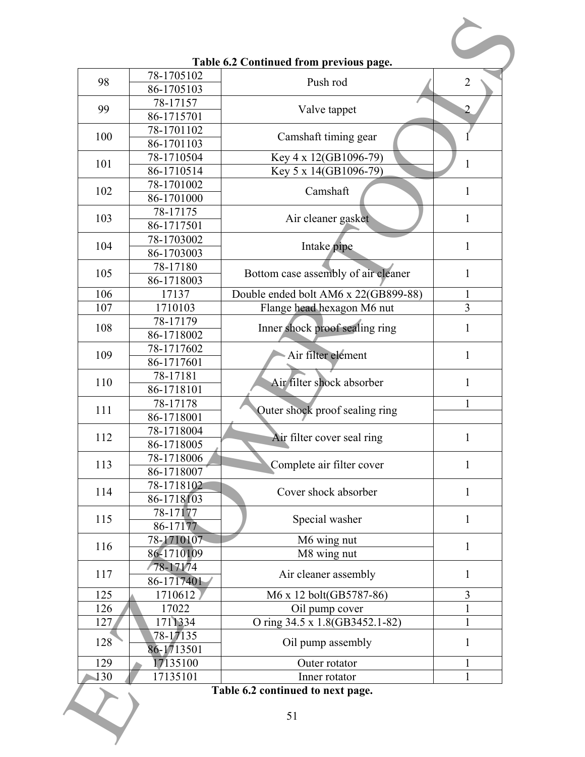|     |            | Table 6.2 Continued from previous page. |                |
|-----|------------|-----------------------------------------|----------------|
| 98  | 78-1705102 | Push rod                                | $\overline{2}$ |
|     | 86-1705103 |                                         |                |
| 99  | 78-17157   | Valve tappet                            | $\overline{2}$ |
|     | 86-1715701 |                                         |                |
| 100 | 78-1701102 | Camshaft timing gear                    |                |
|     | 86-1701103 |                                         |                |
| 101 | 78-1710504 | Key 4 x 12(GB1096-79)                   | $\mathbf{1}$   |
|     | 86-1710514 | Key 5 x 14(GB1096-79)                   |                |
| 102 | 78-1701002 | Camshaft                                | 1              |
|     | 86-1701000 |                                         |                |
|     | 78-17175   |                                         |                |
| 103 | 86-1717501 | Air cleaner gasket                      | 1              |
| 104 | 78-1703002 |                                         |                |
|     | 86-1703003 | Intake pipe                             | $\mathbf{1}$   |
| 105 | 78-17180   |                                         |                |
|     | 86-1718003 | Bottom case assembly of air cleaner     | 1              |
| 106 | 17137      | Double ended bolt AM6 x 22(GB899-88)    | $\mathbf{1}$   |
| 107 | 1710103    | Flange head hexagon M6 nut              | 3              |
|     | 78-17179   |                                         |                |
| 108 | 86-1718002 | Inner shock proof sealing ring          | 1              |
|     | 78-1717602 | Air filter element                      |                |
| 109 | 86-1717601 |                                         | 1              |
|     | 78-17181   | Air filter shock absorber               |                |
| 110 | 86-1718101 |                                         | $\mathbf{1}$   |
|     | 78-17178   |                                         | $\mathbf{1}$   |
| 111 | 86-1718001 | Outer shock proof sealing ring          |                |
|     | 78-1718004 |                                         |                |
| 112 | 86-1718005 | Air filter cover seal ring              | 1              |
|     | 78-1718006 |                                         |                |
| 113 | 86-1718007 | Complete air filter cover               | 1              |
|     | 78-1718102 |                                         |                |
| 114 | 86-1718103 | Cover shock absorber                    | $\mathbf{1}$   |
|     | 78-17177   |                                         |                |
| 115 | 86-17177   | Special washer                          | 1              |
|     | 78-1710107 | M6 wing nut                             | $\mathbf{1}$   |
| 116 | 86-1710109 | M8 wing nut                             |                |
|     | 78-17174   |                                         |                |
| 117 | 86-1717401 | Air cleaner assembly                    | 1              |
| 125 | 1710612    | M6 x 12 bolt(GB5787-86)                 | 3              |
| 126 | 17022      | Oil pump cover                          |                |
| 127 | 1711334    | O ring 34.5 x 1.8(GB3452.1-82)          | 1              |
|     | 78-17135   |                                         |                |
| 128 | 86-1713501 | Oil pump assembly                       | 1              |
| 129 | 17135100   | Outer rotator                           | 1              |
| 130 | 17135101   | Inner rotator                           | 1              |
|     |            | Table 6.2 continued to next page.       |                |
|     |            |                                         |                |
|     |            | 51                                      |                |
|     |            |                                         |                |
|     |            |                                         |                |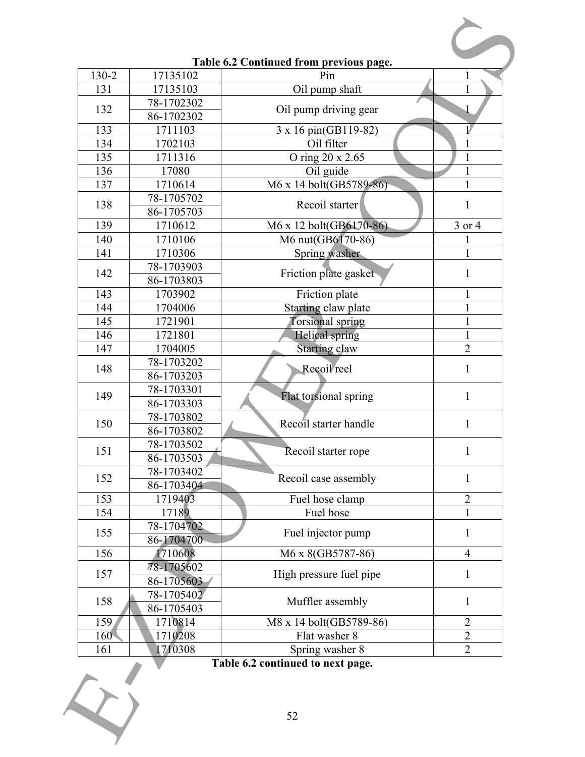| 130-2   | 17135102   | Table 6.2 Continued from previous page.<br>Pin |                       |
|---------|------------|------------------------------------------------|-----------------------|
| 131     | 17135103   | Oil pump shaft                                 |                       |
|         | 78-1702302 |                                                |                       |
| 132     | 86-1702302 | Oil pump driving gear                          |                       |
| 133     | 1711103    | 3 x 16 pin(GB119-82)                           | $\mathbf{1}^{\prime}$ |
| 134     | 1702103    | Oil filter                                     | 1                     |
| 135     | 1711316    | O ring 20 x 2.65                               | 1                     |
| 136     | 17080      | Oil guide                                      | 1                     |
| 137     | 1710614    | M6 x 14 bolt(GB5789-86)                        | $\mathbf{1}$          |
|         | 78-1705702 |                                                |                       |
| 138     | 86-1705703 | Recoil starter                                 | $\mathbf{1}$          |
| 139     | 1710612    | M6 x 12 bolt(GB6170-86)                        | 3 or 4                |
| 140     | 1710106    | M6 nut(GB6170-86)                              | 1                     |
| 141     | 1710306    | Spring washer                                  | 1                     |
|         | 78-1703903 |                                                |                       |
| 142     | 86-1703803 | Friction plate gasket                          | 1                     |
| 143     | 1703902    | Friction plate                                 | 1                     |
| 144     | 1704006    | Starting claw plate                            | 1                     |
| 145     | 1721901    | <b>Torsional spring</b>                        |                       |
| 146     | 1721801    | <b>Helical spring</b>                          | $\mathbf{1}$          |
| 147     | 1704005    | <b>Starting claw</b>                           | $\overline{2}$        |
|         | 78-1703202 | Recoil reel                                    |                       |
| 148     | 86-1703203 |                                                | $\mathbf{1}$          |
| 149     | 78-1703301 |                                                | 1                     |
|         | 86-1703303 | Flat torsional spring                          |                       |
| 150     | 78-1703802 | Recoil starter handle                          |                       |
|         | 86-1703802 |                                                | 1                     |
| 151     | 78-1703502 |                                                | $\mathbf{1}$          |
|         | 86-1703503 | Recoil starter rope                            |                       |
| 152     | 78-1703402 | Recoil case assembly                           | $\mathbf{1}$          |
|         | 86-1703404 |                                                |                       |
| 153     | 1719403    | Fuel hose clamp                                | $\overline{2}$        |
| 154     | 17189      | Fuel hose                                      |                       |
| 155     | 78-1704702 | Fuel injector pump                             | 1                     |
|         | 86-1704700 |                                                |                       |
| 156     | 1710608    | M6 x 8(GB5787-86)                              | $\overline{4}$        |
| 157     | 78-1705602 | High pressure fuel pipe                        | 1                     |
|         | 86-1705603 |                                                |                       |
| 158     | 78-1705402 | Muffler assembly                               | 1                     |
|         | 86-1705403 |                                                |                       |
| 159     | 1710814    | M8 x 14 bolt(GB5789-86)                        | $\overline{2}$        |
| $160 -$ | 1710208    | Flat washer 8                                  | $\overline{2}$        |
| 161     | 1710308    | Spring washer 8                                | $\overline{2}$        |
|         |            | Table 6.2 continued to next page.              |                       |
|         |            |                                                |                       |

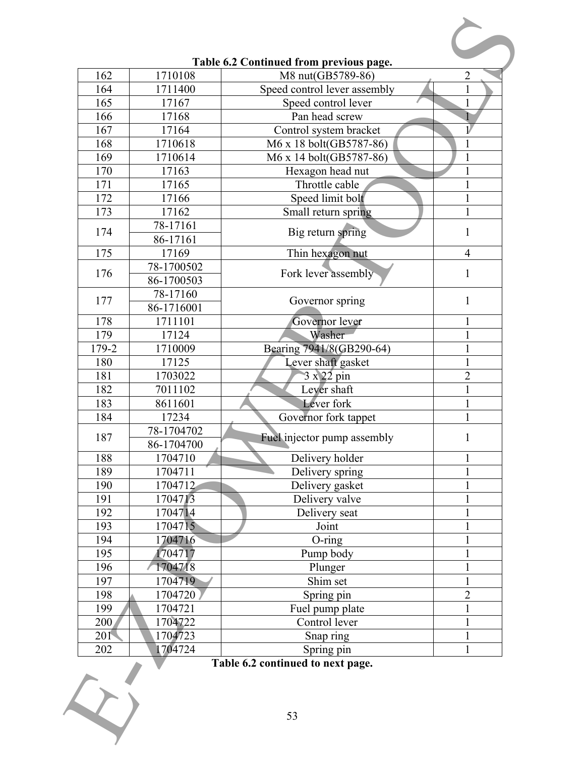|               |            | Table 6.2 Continued from previous page. |                       |
|---------------|------------|-----------------------------------------|-----------------------|
| 162           | 1710108    | M8 nut(GB5789-86)                       | 2                     |
| 164           | 1711400    | Speed control lever assembly            |                       |
| 165           | 17167      | Speed control lever                     |                       |
| 166           | 17168      | Pan head screw                          |                       |
| 167           | 17164      | Control system bracket                  | $\mathbf{1}^{\prime}$ |
| 168           | 1710618    | M6 x 18 bolt(GB5787-86)                 | 1                     |
| 169           | 1710614    | M6 x 14 bolt(GB5787-86)                 | 1                     |
| 170           | 17163      | Hexagon head nut                        | 1                     |
| 171           | 17165      | Throttle cable                          | 1                     |
| 172           | 17166      | Speed limit bolt                        |                       |
| 173           | 17162      | Small return spring                     | 1                     |
| 174           | 78-17161   |                                         | $\mathbf{1}$          |
|               | 86-17161   | Big return spring                       |                       |
| 175           | 17169      | Thin hexagon nut                        | 4                     |
| 176           | 78-1700502 | Fork lever assembly                     | 1                     |
|               | 86-1700503 |                                         |                       |
| 177           | 78-17160   |                                         | $\mathbf{1}$          |
|               | 86-1716001 | Governor spring                         |                       |
| 178           | 1711101    | Governor lever                          |                       |
| 179           | 17124      | Washer                                  |                       |
| 179-2         | 1710009    | Bearing 7941/8(GB290-64)                | $\mathbf{1}$          |
| 180           | 17125      | Lever shaft gasket                      | $\mathbf{1}$          |
| 181           | 1703022    | $3 \times 22$ pin                       | $\overline{2}$        |
| 182           | 7011102    | Lever shaft                             | 1                     |
| 183           | 8611601    | Lever fork                              | $\mathbf{1}$          |
| 184           | 17234      | Governor fork tappet                    | $\mathbf{1}$          |
| 187           | 78-1704702 |                                         | 1                     |
|               | 86-1704700 | Fuel injector pump assembly             |                       |
| 188           | 1704710    | Delivery holder                         |                       |
| 189           | 1704711    | Delivery spring                         |                       |
| 190           | 1704712    | Delivery gasket                         | $\mathbf{1}$          |
| 191           | 1704713    | Delivery valve                          |                       |
| 192           | 1704714    | Delivery seat                           |                       |
| 193           | 1704715    | Joint                                   | $\mathbf 1$           |
| 194           | 1704716    | O-ring                                  | $\mathbf{1}$          |
| 195           | 1704717    | Pump body                               |                       |
| 196           | 1704718    | Plunger                                 |                       |
| 197           | 1704719    | Shim set                                | $\mathbf{1}$          |
| 198           | 1704720    | Spring pin                              | $\overline{2}$        |
| 199           | 1704721    | Fuel pump plate                         | $\mathbf{1}$          |
| 200           | 1704722    | Control lever                           | $\overline{1}$        |
| $201^{\circ}$ | 1704723    | Snap ring                               | $\mathbf{1}$          |
| 202           | 1704724    | Spring pin                              | $\mathbf{1}$          |
|               |            | Table 6.2 continued to next page.       |                       |
|               |            |                                         |                       |
|               |            |                                         |                       |
|               |            |                                         |                       |
|               |            | 53                                      |                       |

| Table 6.2 Continued from previous page. |  |  |
|-----------------------------------------|--|--|
|                                         |  |  |

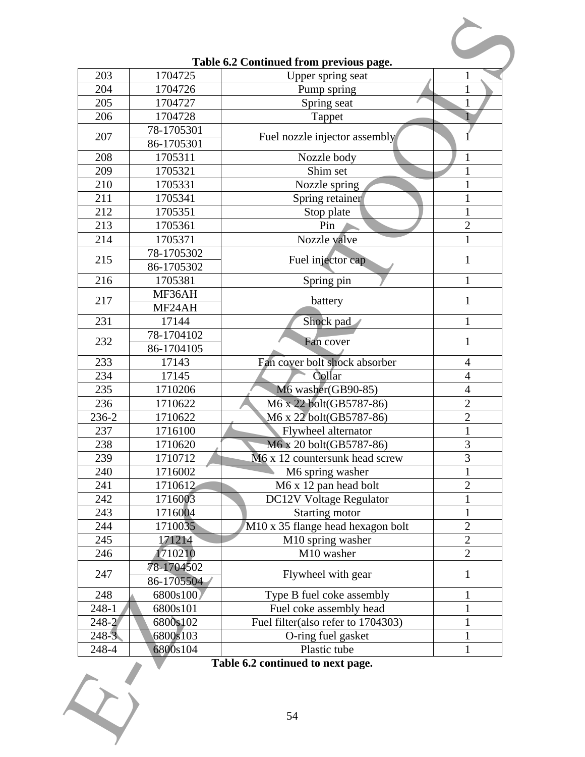| 203       | 1704725           | Table 6.2 Continued from previous page.<br>Upper spring seat |                                            |
|-----------|-------------------|--------------------------------------------------------------|--------------------------------------------|
| 204       | 1704726           | Pump spring                                                  |                                            |
| 205       | 1704727           | Spring seat                                                  |                                            |
| 206       | 1704728           |                                                              |                                            |
|           | 78-1705301        | Tappet                                                       |                                            |
| 207       | 86-1705301        | Fuel nozzle injector assembly                                |                                            |
| 208       | 1705311           | Nozzle body                                                  | $\mathbf{1}$                               |
| 209       | 1705321           | Shim set                                                     | 1                                          |
| 210       | 1705331           |                                                              | $\mathbf{1}$                               |
| 211       | 1705341           | Nozzle spring<br>Spring retainer                             | $\mathbf{1}$                               |
| 212       | 1705351           |                                                              | 1                                          |
| 213       | 1705361           | Stop plate<br>Pin                                            | $\overline{2}$                             |
|           |                   | Nozzle valve                                                 | $\mathbf{1}$                               |
| 214       | 1705371           |                                                              |                                            |
| 215       | 78-1705302        | Fuel injector cap                                            | 1                                          |
|           | 86-1705302        |                                                              |                                            |
| 216       | 1705381<br>MF36AH | Spring pin                                                   | 1                                          |
| 217       |                   | battery                                                      | $\mathbf{1}$                               |
|           | MF24AH            |                                                              |                                            |
| 231       | 17144             | Shock pad                                                    | $\mathbf{1}$                               |
| 232       | 78-1704102        | Fan cover                                                    | $\mathbf{1}$                               |
|           | 86-1704105        |                                                              |                                            |
| 233       | 17143             | Fan cover bolt shock absorber                                | $\overline{\mathcal{A}}$<br>$\overline{4}$ |
| 234       | 17145             | Collar                                                       |                                            |
| 235       | 1710206           | M6 washer(GB90-85)                                           | $\overline{4}$<br>$\overline{2}$           |
| 236       | 1710622           | M6 x 22 bolt(GB5787-86)                                      | $\overline{2}$                             |
| 236-2     | 1710622           | M6 x 22 bolt(GB5787-86)                                      |                                            |
| 237       | 1716100           | Flywheel alternator                                          | $\mathbf{1}$                               |
| 238       | 1710620           | M6 x 20 bolt(GB5787-86)                                      | 3                                          |
| 239       | 1710712           | M6 x 12 countersunk head screw                               | 3                                          |
| 240       | 1716002           | M6 spring washer                                             | $\mathbf 1$                                |
| 241       | 1710612           | M6 x 12 pan head bolt                                        | $\boldsymbol{2}$                           |
| 242       | 1716003           | DC12V Voltage Regulator                                      | 1                                          |
| 243       | 1716004           | Starting motor                                               | 1                                          |
| 244       | 1710035           | $\overline{M10}$ x 35 flange head hexagon bolt               | $\overline{2}$                             |
| 245       | 171214            | M10 spring washer                                            | $\overline{2}$                             |
| 246       | 1710210           | M10 washer                                                   | $\overline{2}$                             |
| 247       | 78-1704502        | Flywheel with gear                                           | $\mathbf{1}$                               |
|           | 86-1705504        |                                                              |                                            |
| 248       | 6800s100          | Type B fuel coke assembly                                    | $\mathbf{1}$                               |
| $248 - 1$ | 6800s101          | Fuel coke assembly head                                      | $\mathbf{1}$                               |
| 248-2     | 6800s102          | Fuel filter (also refer to 1704303)                          | 1                                          |
| $248 - 3$ | 6800s103          | O-ring fuel gasket                                           | $\mathbf{1}$                               |
| 248-4     | 6800s104          | Plastic tube                                                 | $\mathbf{1}$                               |
|           |                   | Table 6.2 continued to next page.                            |                                            |
|           |                   |                                                              |                                            |
|           |                   |                                                              |                                            |
|           |                   |                                                              |                                            |
|           |                   | 54                                                           |                                            |
|           |                   |                                                              |                                            |

### Table 6.2 Continued from previ

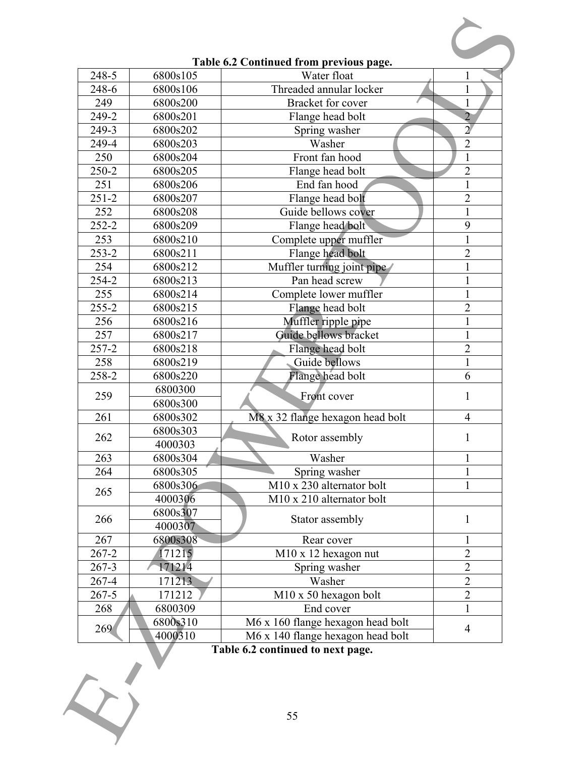

### **Table 6.2 Continued from previous page.**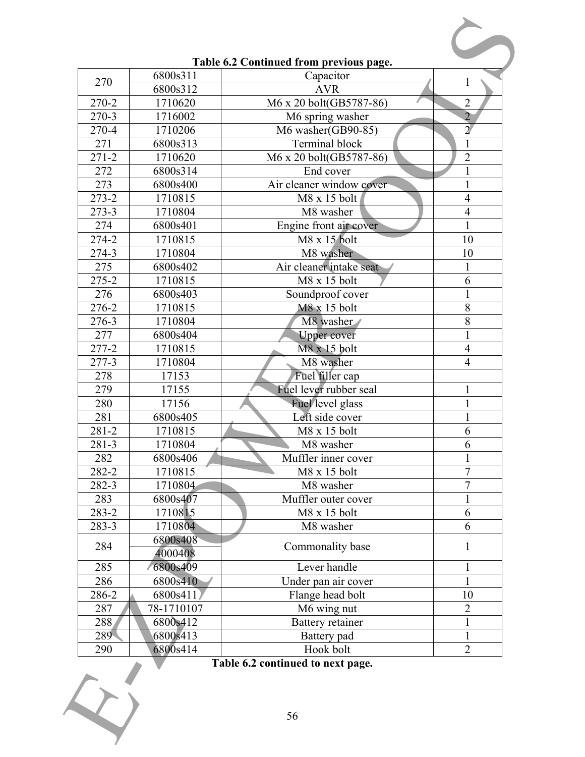|           |                     | Table 6.2 Continued from previous page. |                |
|-----------|---------------------|-----------------------------------------|----------------|
| 270       | 6800s311            | Capacitor                               | 1              |
|           | 6800s312            | <b>AVR</b>                              |                |
| 270-2     | 1710620             | M6 x 20 bolt(GB5787-86)                 | $\overline{2}$ |
| $270-3$   | 1716002             | M6 spring washer                        | $\overline{2}$ |
| 270-4     | 1710206             | M6 washer(GB90-85)                      | $\overline{2}$ |
| 271       | 6800s313            | Terminal block                          | $\mathbf{1}$   |
| $271 - 2$ | 1710620             | M6 x 20 bolt(GB5787-86)                 | $\overline{2}$ |
| 272       | 6800s314            | End cover                               | 1              |
| 273       | 6800s400            | Air cleaner window cover                | $\mathbf{1}$   |
| 273-2     | 1710815             | M8 x 15 bolt                            | $\overline{4}$ |
| $273 - 3$ | 1710804             | M8 washer                               | $\overline{4}$ |
| 274       | 6800s401            | Engine front air cover                  | $\mathbf{1}$   |
| 274-2     | 1710815             | M8 x 15 bolt                            | 10             |
| 274-3     | 1710804             | M8 washer                               | 10             |
| 275       | 6800s402            | Air cleaner intake seat                 |                |
| $275 - 2$ | 1710815             | M8 x 15 bolt                            | 6              |
| 276       | 6800s403            | Soundproof cover                        | $\mathbf{1}$   |
| 276-2     | 1710815             | M8 x 15 bolt                            | 8              |
| 276-3     | 1710804             | M8 washer                               | 8              |
| 277       | 6800s404            | <b>Upper cover</b>                      |                |
| $277 - 2$ | 1710815             | M8 x 15 bolt                            | $\overline{4}$ |
| 277-3     | 1710804             | M8 washer                               | $\overline{4}$ |
| 278       | 17153               | Fuel filler cap                         |                |
| 279       | 17155               | Fuel lever rubber seal                  |                |
| 280       | 17156               | Fuel level glass                        | 1              |
| 281       | 6800s405            | Left side cover                         | $\mathbf{1}$   |
| 281-2     | 1710815             | M8 x 15 bolt                            | 6              |
| $281 - 3$ | 1710804             | M8 washer                               | 6              |
| 282       | 6800s406            | Muffler inner cover                     |                |
| 282-2     | 1710815             | M8 x 15 bolt                            | $\overline{7}$ |
| 282-3     | 1710804             | M8 washer                               | 7              |
| 283       | 6800s407            | Muffler outer cover                     |                |
| 283-2     | 1710815             | M8 x 15 bolt                            | 6              |
| 283-3     | 1710804             | M8 washer                               | 6              |
| 284       | 6800s408<br>4000408 | Commonality base                        | 1              |
| 285       | 6800s409            | Lever handle                            |                |
| 286       | 6800s410            | Under pan air cover                     | 1              |
| 286-2     | 6800s411            | Flange head bolt                        | 10             |
| 287       | 78-1710107          | M6 wing nut                             | $\overline{c}$ |
| 288       | 6800s412            | Battery retainer                        |                |
| 289       | 6800s413            | Battery pad                             | $\mathbf{1}$   |
| 290       | 6800s414            | Hook bolt                               | $\overline{2}$ |
|           |                     | Table 6.2 continued to next page.       |                |
|           |                     |                                         |                |

| Table 6.2 Continued from previous page. |  |  |
|-----------------------------------------|--|--|
|                                         |  |  |

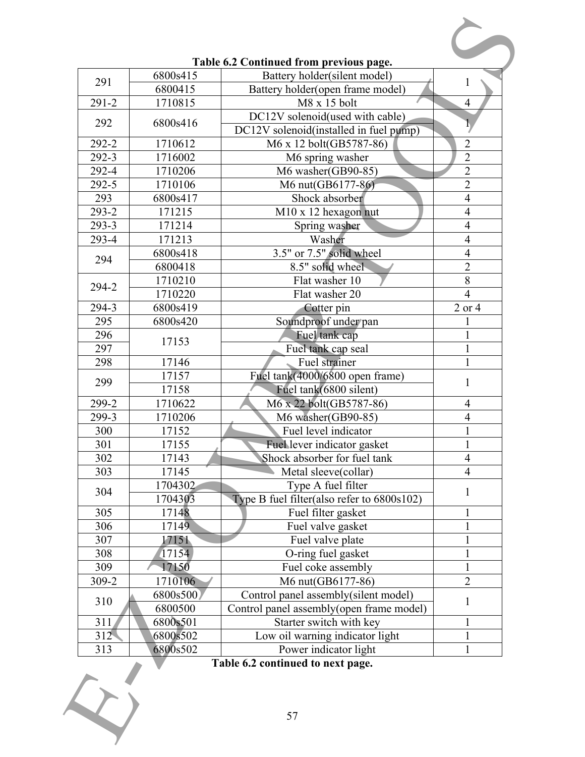|               |          | Table 6.2 Continued from previous page.             |                |
|---------------|----------|-----------------------------------------------------|----------------|
|               | 6800s415 | Battery holder(silent model)                        |                |
| 291           | 6800415  | Battery holder(open frame model)                    | 1              |
| $291 - 2$     | 1710815  | M8 x 15 bolt                                        | $\overline{4}$ |
|               |          | DC12V solenoid(used with cable)                     |                |
| 292           | 6800s416 | $\overline{DC12}V$ solenoid(installed in fuel pump) |                |
| 292-2         | 1710612  | M6 x 12 bolt(GB5787-86)                             | $\overline{2}$ |
| 292-3         | 1716002  | M6 spring washer                                    | $\overline{2}$ |
| 292-4         | 1710206  | M6 washer(GB90-85)                                  | $\overline{2}$ |
| 292-5         | 1710106  | M6 nut(GB6177-86)                                   | $\overline{2}$ |
| 293           | 6800s417 | Shock absorber                                      | $\overline{4}$ |
| $293 - 2$     | 171215   | $M10 \times 12$ hexagon nut                         | $\overline{4}$ |
| $293-3$       | 171214   | Spring washer                                       | $\overline{4}$ |
| 293-4         | 171213   | Washer                                              | $\overline{4}$ |
|               | 6800s418 | 3.5" or 7.5" solid wheel                            | $\overline{4}$ |
| 294           | 6800418  | 8.5" solid wheel                                    | $\overline{2}$ |
| 294-2         | 1710210  | Flat washer 10                                      | 8              |
|               | 1710220  | Flat washer 20                                      | $\overline{4}$ |
| 294-3         | 6800s419 | Cotter pin                                          | 2 or 4         |
| 295           | 6800s420 | Soundproof under pan                                |                |
| 296           |          | Fuel tank cap                                       |                |
| 297           | 17153    | Fuel tank cap seal                                  | $\mathbf{1}$   |
| 298           | 17146    | Fuel strainer                                       | $\mathbf{1}$   |
| 299           | 17157    | Fuel tank(4000/6800 open frame)                     | 1              |
|               | 17158    | Fuel tank(6800 silent)                              |                |
| 299-2         | 1710622  | M6 x 22 bolt(GB5787-86)                             | $\overline{4}$ |
| 299-3         | 1710206  | M6 washer(GB90-85)                                  | $\overline{4}$ |
| 300           | 17152    | Fuel level indicator                                | $\mathbf{1}$   |
| 301           | 17155    | Fuel lever indicator gasket                         | $\mathbf{1}$   |
| 302           | 17143    | Shock absorber for fuel tank                        | $\overline{4}$ |
| 303           | 17145    | Metal sleeve(collar)                                | $\overline{4}$ |
| 304           | 1704302  | Type A fuel filter                                  | 1              |
|               | 1704303  | Type B fuel filter(also refer to 6800s102)          |                |
| 305           | 17148    | Fuel filter gasket                                  |                |
| 306           | 17149    | Fuel valve gasket                                   | 1              |
| 307           | 17151    | Fuel valve plate                                    | $\mathbf{1}$   |
| 308           | 17154    | O-ring fuel gasket                                  |                |
| 309           | 17150    | Fuel coke assembly                                  |                |
| 309-2         | 1710106  | M6 nut(GB6177-86)                                   | $\overline{2}$ |
| 310           | 6800s500 | Control panel assembly(silent model)                | 1              |
|               | 6800500  | Control panel assembly(open frame model)            |                |
| 311           | 6800s501 | Starter switch with key                             |                |
| $312^{\circ}$ | 6800s502 | Low oil warning indicator light                     | $\mathbf{1}$   |
| 313           | 6800s502 | Power indicator light                               | 1              |
|               |          | Table 6.2 continued to next page.                   |                |
|               |          |                                                     |                |
|               |          | 57                                                  |                |
|               |          |                                                     |                |

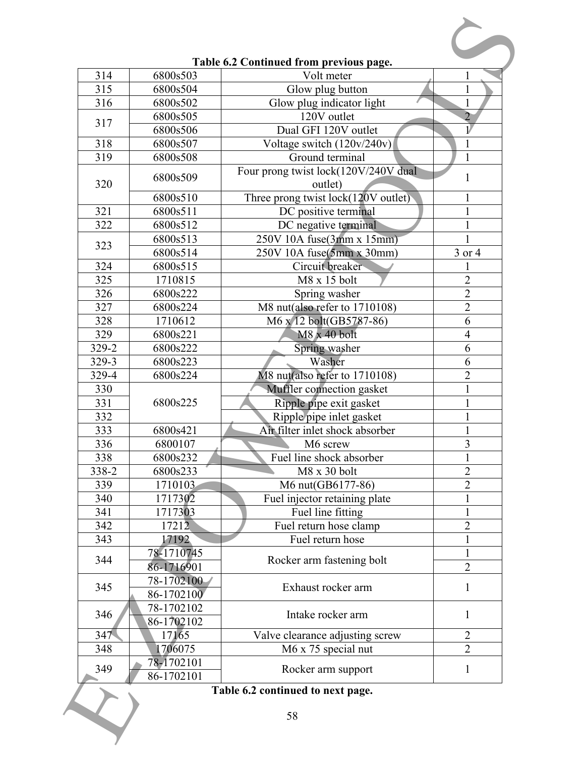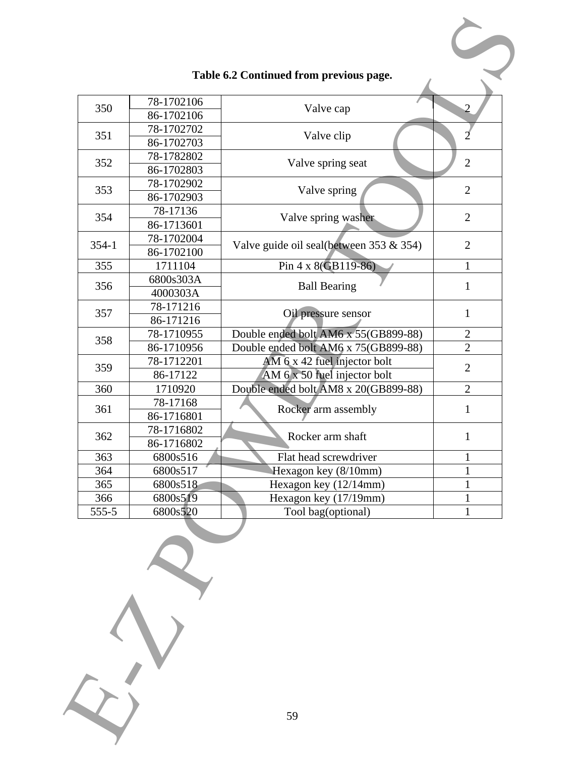|              |                          | Table 6.2 Continued from previous page.                                      |                                  |
|--------------|--------------------------|------------------------------------------------------------------------------|----------------------------------|
| 350          | 78-1702106<br>86-1702106 | Valve cap                                                                    | $\overline{2}$                   |
| 351          | 78-1702702<br>86-1702703 | Valve clip                                                                   | 2                                |
| 352          | 78-1782802<br>86-1702803 | Valve spring seat                                                            | $\overline{2}$                   |
| 353          | 78-1702902<br>86-1702903 | Valve spring                                                                 | $\overline{2}$                   |
| 354          | 78-17136<br>86-1713601   | Valve spring washer                                                          | $\overline{2}$                   |
| $354-1$      | 78-1702004<br>86-1702100 | Valve guide oil seal(between 353 & 354)                                      | $\overline{2}$                   |
| 355          | 1711104                  | Pin 4 x 8(GB119-86)                                                          | $\mathbf{1}$                     |
| 356          | 6800s303A<br>4000303A    | <b>Ball Bearing</b>                                                          | $\mathbf{1}$                     |
| 357          | 78-171216<br>86-171216   | Oil pressure sensor                                                          | $\mathbf{1}$                     |
| 358          | 78-1710955<br>86-1710956 | Double ended bolt AM6 x 55(GB899-88)<br>Double ended bolt AM6 x 75(GB899-88) | $\overline{2}$<br>$\overline{2}$ |
| 359          | 78-1712201<br>86-17122   | $AM 6x 42$ fuel injector bolt<br>AM $6 \times 50$ fuel injector bolt         | $\overline{2}$                   |
| 360          | 1710920                  | Double ended bolt AM8 x 20(GB899-88)                                         | $\overline{2}$                   |
| 361          | 78-17168<br>86-1716801   | Rocker arm assembly                                                          | $\mathbf{1}$                     |
| 362          | 78-1716802<br>86-1716802 | Rocker arm shaft                                                             | 1                                |
| 363          | 6800s516                 | Flat head screwdriver                                                        | $\mathbf{1}$                     |
| 364          | 6800s517                 | Hexagon key (8/10mm)                                                         | $\mathbf{1}$                     |
| 365          | 6800s518                 | Hexagon key (12/14mm)                                                        | 1                                |
| 366<br>555-5 | 6800s519<br>6800s520     | Hexagon key (17/19mm)<br>Tool bag(optional)                                  | $\mathbf{1}$<br>$\mathbf{1}$     |
|              |                          |                                                                              |                                  |
|              |                          | 59                                                                           |                                  |

# **Table 6.2 Continued from previous page.**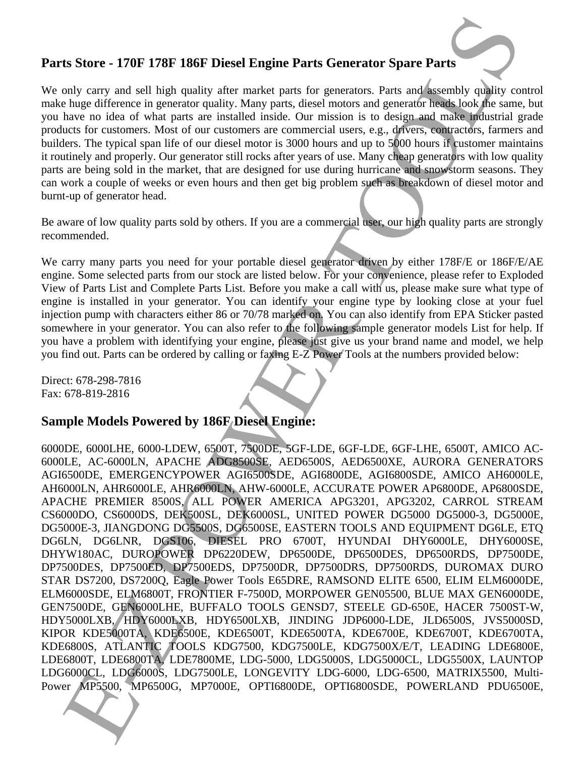### **Parts Store - 170F 178F 186F Diesel Engine Parts Generator Spare Parts**

We only carry and sell high quality after market parts for generators. Parts and assembly quality control make huge difference in generator quality. Many parts, diesel motors and generator heads look the same, but you have no idea of what parts are installed inside. Our mission is to design and make industrial grade products for customers. Most of our customers are commercial users, e.g., drivers, contractors, farmers and builders. The typical span life of our diesel motor is 3000 hours and up to 5000 hours if customer maintains it routinely and properly. Our generator still rocks after years of use. Many cheap generators with low quality parts are being sold in the market, that are designed for use during hurricane and snowstorm seasons. They can work a couple of weeks or even hours and then get big problem such as breakdown of diesel motor and burnt-up of generator head.

Be aware of low quality parts sold by others. If you are a commercial user, our high quality parts are strongly recommended.

We carry many parts you need for your portable diesel generator driven by either 178F/E or 186F/E/AE engine. Some selected parts from our stock are listed below. For your convenience, please refer to Exploded View of Parts List and Complete Parts List. Before you make a call with us, please make sure what type of engine is installed in your generator. You can identify your engine type by looking close at your fuel injection pump with characters either 86 or 70/78 marked on. You can also identify from EPA Sticker pasted somewhere in your generator. You can also refer to the following sample generator models List for help. If you have a problem with identifying your engine, please just give us your brand name and model, we help you find out. Parts can be ordered by calling or faxing E-Z Power Tools at the numbers provided below:

Direct: 678-298-7816 Fax: 678-819-2816

## **Sample Models Powered by 186F Diesel Engine:**

6000DE, 6000LHE, 6000-LDEW, 6500T, 7500DE, 5GF-LDE, 6GF-LDE, 6GF-LHE, 6500T, AMICO AC-6000LE, AC-6000LN, APACHE ADG8500SE, AED6500S, AED6500XE, AURORA GENERATORS AGI6500DE, EMERGENCYPOWER AGI6500SDE, AGI6800DE, AGI6800SDE, AMICO AH6000LE, AH6000LN, AHR6000LE, AHR6000LN, AHW-6000LE, ACCURATE POWER AP6800DE, AP6800SDE, APACHE PREMIER 8500S, ALL POWER AMERICA APG3201, APG3202, CARROL STREAM CS6000DO, CS6000DS, DEK500SL, DEK6000SL, UNITED POWER DG5000 DG5000-3, DG5000E, DG5000E-3, JIANGDONG DG5500S, DG6500SE, EASTERN TOOLS AND EQUIPMENT DG6LE, ETQ DG6LN, DG6LNR, DGS106, DIESEL PRO 6700T, HYUNDAI DHY6000LE, DHY6000SE, DHYW180AC, DUROPOWER DP6220DEW, DP6500DE, DP6500DES, DP6500RDS, DP7500DE, DP7500DES, DP7500ED, DP7500EDS, DP7500DR, DP7500DRS, DP7500RDS, DUROMAX DURO STAR DS7200, DS7200Q, Eagle Power Tools E65DRE, RAMSOND ELITE 6500, ELIM ELM6000DE, ELM6000SDE, ELM6800T, FRONTIER F-7500D, MORPOWER GEN05500, BLUE MAX GEN6000DE, GEN7500DE, GEN6000LHE, BUFFALO TOOLS GENSD7, STEELE GD-650E, HACER 7500ST-W, HDY5000LXB, HDY6000LXB, HDY6500LXB, JINDING JDP6000-LDE, JLD6500S, JVS5000SD, KIPOR KDE5000TA, KDE6500E, KDE6500T, KDE6500TA, KDE6700E, KDE6700T, KDE6700TA, KDE6800S, ATLANTIC TOOLS KDG7500, KDG7500LE, KDG7500X/E/T, LEADING LDE6800E, LDE6800T, LDE6800TA, LDE7800ME, LDG-5000, LDG5000S, LDG5000CL, LDG5500X, LAUNTOP LDG6000CL, LDG6000S, LDG7500LE, LONGEVITY LDG-6000, LDG-6500, MATRIX5500, Multi-Power MP5500, MP6500G, MP7000E, OPTI6800DE, OPTI6800SDE, POWERLAND PDU6500E, **ES Store - 170F 178F 186F Diesel Engine Parts Generator Spare Parts<br>
Subcome and soll high quality after make provide for generator. Byter Parts<br>
The control of the make provide the state and the state and the state and** 

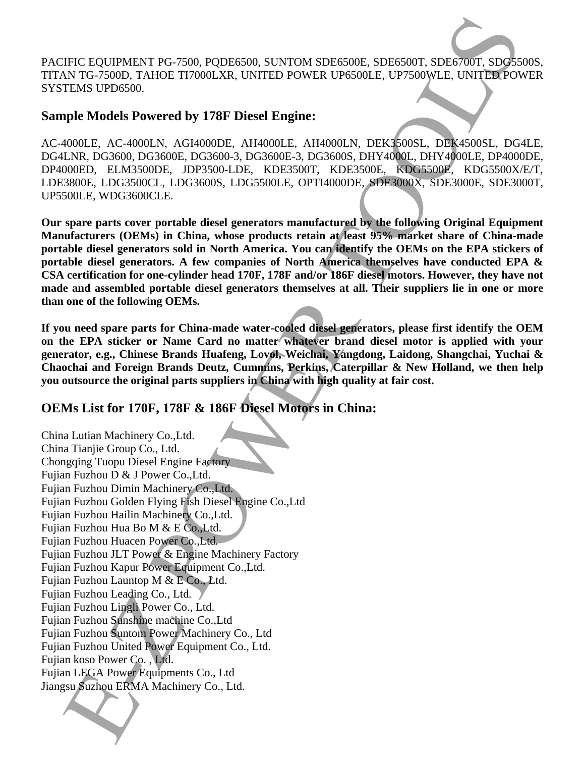PACIFIC EQUIPMENT PG-7500, PQDE6500, SUNTOM SDE6500E, SDE6500T, SDE6700T, SDG5500S, TITAN TG-7500D, TAHOE TI7000LXR, UNITED POWER UP6500LE, UP7500WLE, UNITED POWER SYSTEMS UPD6500.

### **Sample Models Powered by 178F Diesel Engine:**

AC-4000LE, AC-4000LN, AGI4000DE, AH4000LE, AH4000LN, DEK3500SL, DEK4500SL, DG4LE, DG4LNR, DG3600, DG3600E, DG3600-3, DG3600E-3, DG3600S, DHY4000L, DHY4000LE, DP4000DE, DP4000ED, ELM3500DE, JDP3500-LDE, KDE3500T, KDE3500E, KDG5500E, KDG5500X/E/T, LDE3800E, LDG3500CL, LDG3600S, LDG5500LE, OPTI4000DE, SDE3000X, SDE3000E, SDE3000T, UP5500LE, WDG3600CLE.

**Our spare parts cover portable diesel generators manufactured by the following Original Equipment Manufacturers (OEMs) in China, whose products retain at least 95% market share of China-made portable diesel generators sold in North America. You can identify the OEMs on the EPA stickers of portable diesel generators. A few companies of North America themselves have conducted EPA & CSA certification for one-cylinder head 170F, 178F and/or 186F diesel motors. However, they have not made and assembled portable diesel generators themselves at all. Their suppliers lie in one or more than one of the following OEMs.** 

**If you need spare parts for China-made water-cooled diesel generators, please first identify the OEM on the EPA sticker or Name Card no matter whatever brand diesel motor is applied with your generator, e.g., Chinese Brands Huafeng, Lovol, Weichai, Yangdong, Laidong, Shangchai, Yuchai & Chaochai and Foreign Brands Deutz, Cummins, Perkins, Caterpillar & New Holland, we then help you outsource the original parts suppliers in China with high quality at fair cost.** 

### **OEMs List for 170F, 178F & 186F Diesel Motors in China:**

China Lutian Machinery Co.,Ltd. China Tianjie Group Co., Ltd. Chongqing Tuopu Diesel Engine Factory Fujian Fuzhou D & J Power Co.,Ltd. Fujian Fuzhou Dimin Machinery Co.,Ltd. Fujian Fuzhou Golden Flying Fish Diesel Engine Co.,Ltd Fujian Fuzhou Hailin Machinery Co.,Ltd. Fujian Fuzhou Hua Bo M & E Co.,Ltd. Fujian Fuzhou Huacen Power Co*.,*Ltd*.*  Fujian Fuzhou JLT Power & Engine Machinery Factory Fujian Fuzhou Kapur Power Equipment Co.,Ltd. Fujian Fuzhou Launtop M & E Co., Ltd. Fujian Fuzhou Leading Co*.,* Ltd*.*  Fujian Fuzhou Lingli Power Co., Ltd. Fujian Fuzhou Sunshine machine Co.,Ltd Fujian Fuzhou Suntom Power Machinery Co., Ltd Fujian Fuzhou United Power Equipment Co., Ltd. Fujian koso Power Co. , Ltd. Fujian LEGA Power Equipments Co., Ltd Jiangsu Suzhou ERMA Machinery Co., Ltd. IFIC EQUIPMENT PO-7500. PODESCO. SUNTON SDEISONE, SDEISONT. SDEISTRIT, SDEISTRIT, SDEISTRIT, SDEISTRIT, SDEISTRIT, SUNTON UNIVERSITY (INTERFERNATION CONTROLL), UNIVERSITY (INTERFERNATION), INC.-40000. NO. 20000. NO. 20000.